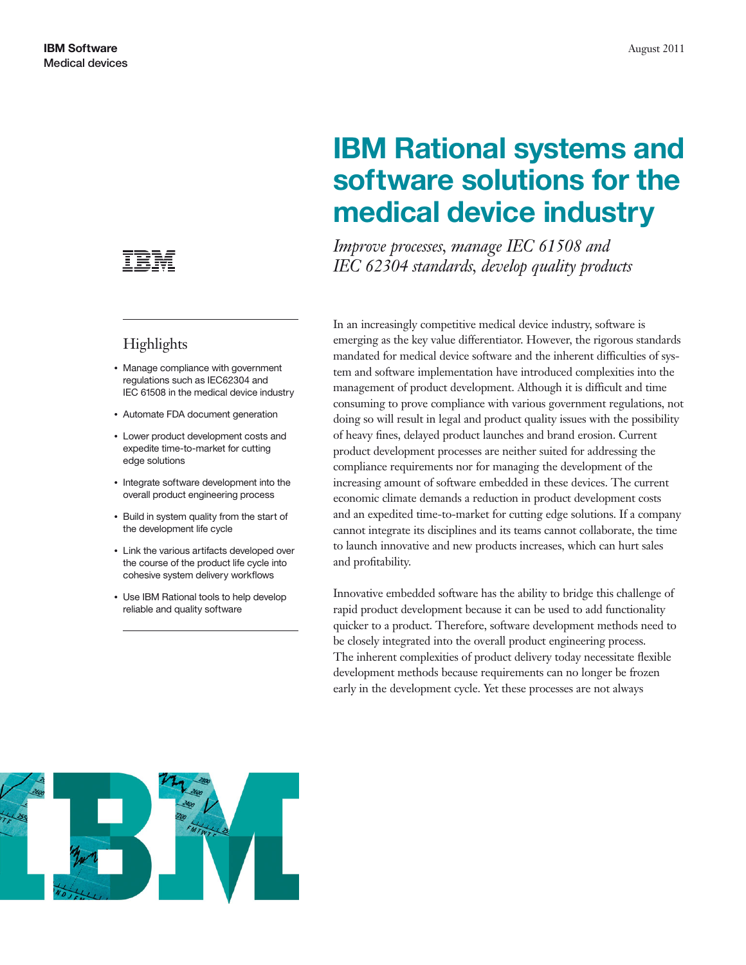

# **Highlights**

- Manage compliance with government regulations such as IEC62304 and IEC 61508 in the medical device industry
- Automate FDA document generation
- Lower product development costs and expedite time-to-market for cutting edge solutions
- Integrate software development into the overall product engineering process
- Build in system quality from the start of the development life cycle
- Link the various artifacts developed over the course of the product life cycle into cohesive system delivery workflows
- Use IBM Rational tools to help develop reliable and quality software

# **IBM Rational systems and software solutions for the medical device industry**

*Improve processes, manage IEC 61508 and IEC 62304 standards, develop quality products*

In an increasingly competitive medical device industry, software is emerging as the key value differentiator. However, the rigorous standards mandated for medical device software and the inherent difficulties of system and software implementation have introduced complexities into the management of product development. Although it is difficult and time consuming to prove compliance with various government regulations, not doing so will result in legal and product quality issues with the possibility of heavy fines, delayed product launches and brand erosion. Current product development processes are neither suited for addressing the compliance requirements nor for managing the development of the increasing amount of software embedded in these devices. The current economic climate demands a reduction in product development costs and an expedited time-to-market for cutting edge solutions. If a company cannot integrate its disciplines and its teams cannot collaborate, the time to launch innovative and new products increases, which can hurt sales and profitability.

Innovative embedded software has the ability to bridge this challenge of rapid product development because it can be used to add functionality quicker to a product. Therefore, software development methods need to be closely integrated into the overall product engineering process. The inherent complexities of product delivery today necessitate flexible development methods because requirements can no longer be frozen early in the development cycle. Yet these processes are not always

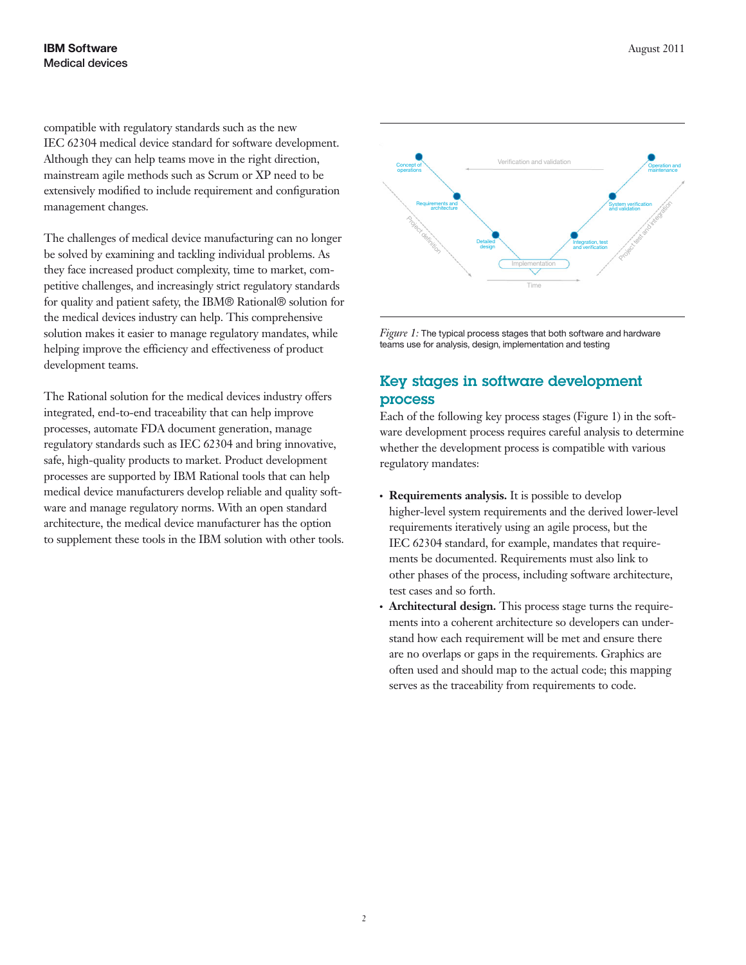#### **IBM Software** August 2011 Medical devices

compatible with regulatory standards such as the new IEC 62304 medical device standard for software development. Although they can help teams move in the right direction, mainstream agile methods such as Scrum or XP need to be extensively modified to include requirement and configuration management changes.

The challenges of medical device manufacturing can no longer be solved by examining and tackling individual problems. As they face increased product complexity, time to market, competitive challenges, and increasingly strict regulatory standards for quality and patient safety, the IBM® Rational® solution for the medical devices industry can help. This comprehensive solution makes it easier to manage regulatory mandates, while helping improve the efficiency and effectiveness of product development teams.

The Rational solution for the medical devices industry offers integrated, end-to-end traceability that can help improve processes, automate FDA document generation, manage regulatory standards such as IEC 62304 and bring innovative, safe, high-quality products to market. Product development processes are supported by IBM Rational tools that can help medical device manufacturers develop reliable and quality software and manage regulatory norms. With an open standard architecture, the medical device manufacturer has the option to supplement these tools in the IBM solution with other tools.



*Figure 1:* The typical process stages that both software and hardware teams use for analysis, design, implementation and testing

## **Key stages in software development process**

Each of the following key process stages (Figure 1) in the software development process requires careful analysis to determine whether the development process is compatible with various regulatory mandates:

- Requirements analysis. It is possible to develop higher-level system requirements and the derived lower-level requirements iteratively using an agile process, but the IEC 62304 standard, for example, mandates that requirements be documented. Requirements must also link to other phases of the process, including software architecture, test cases and so forth.
- **Architectural design.** This process stage turns the requirements into a coherent architecture so developers can understand how each requirement will be met and ensure there are no overlaps or gaps in the requirements. Graphics are often used and should map to the actual code; this mapping serves as the traceability from requirements to code.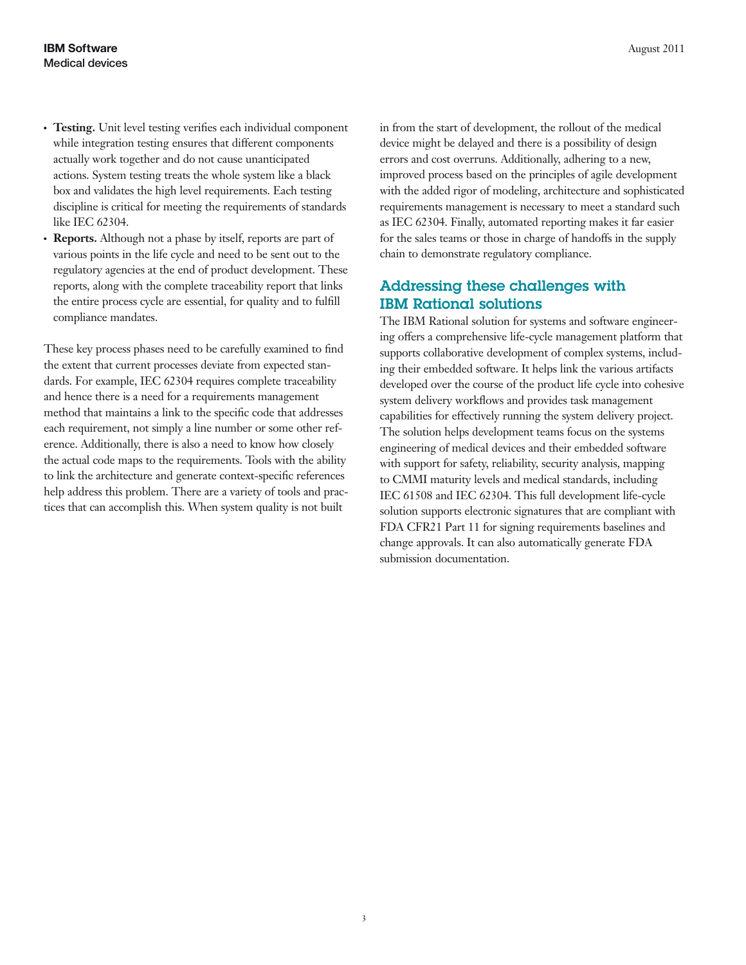- **Testing.** Unit level testing verifies each individual component while integration testing ensures that different components actually work together and do not cause unanticipated actions. System testing treats the whole system like a black box and validates the high level requirements. Each testing discipline is critical for meeting the requirements of standards like IEC 62304.
- **Reports.** Although not a phase by itself, reports are part of various points in the life cycle and need to be sent out to the regulatory agencies at the end of product development. These reports, along with the complete traceability report that links the entire process cycle are essential, for quality and to fulfill compliance mandates.

These key process phases need to be carefully examined to find the extent that current processes deviate from expected standards. For example, IEC 62304 requires complete traceability and hence there is a need for a requirements management method that maintains a link to the specific code that addresses each requirement, not simply a line number or some other reference. Additionally, there is also a need to know how closely the actual code maps to the requirements. Tools with the ability to link the architecture and generate context-specific references help address this problem. There are a variety of tools and practices that can accomplish this. When system quality is not built

in from the start of development, the rollout of the medical device might be delayed and there is a possibility of design errors and cost overruns. Additionally, adhering to a new, improved process based on the principles of agile development with the added rigor of modeling, architecture and sophisticated requirements management is necessary to meet a standard such as IEC 62304. Finally, automated reporting makes it far easier for the sales teams or those in charge of handoffs in the supply chain to demonstrate regulatory compliance.

### **Addressing these challenges with IBM Rational solutions**

The IBM Rational solution for systems and software engineering offers a comprehensive life-cycle management platform that supports collaborative development of complex systems, including their embedded software. It helps link the various artifacts developed over the course of the product life cycle into cohesive system delivery workflows and provides task management capabilities for effectively running the system delivery project. The solution helps development teams focus on the systems engineering of medical devices and their embedded software with support for safety, reliability, security analysis, mapping to CMMI maturity levels and medical standards, including IEC 61508 and IEC 62304. This full development life-cycle solution supports electronic signatures that are compliant with FDA CFR21 Part 11 for signing requirements baselines and change approvals. It can also automatically generate FDA submission documentation.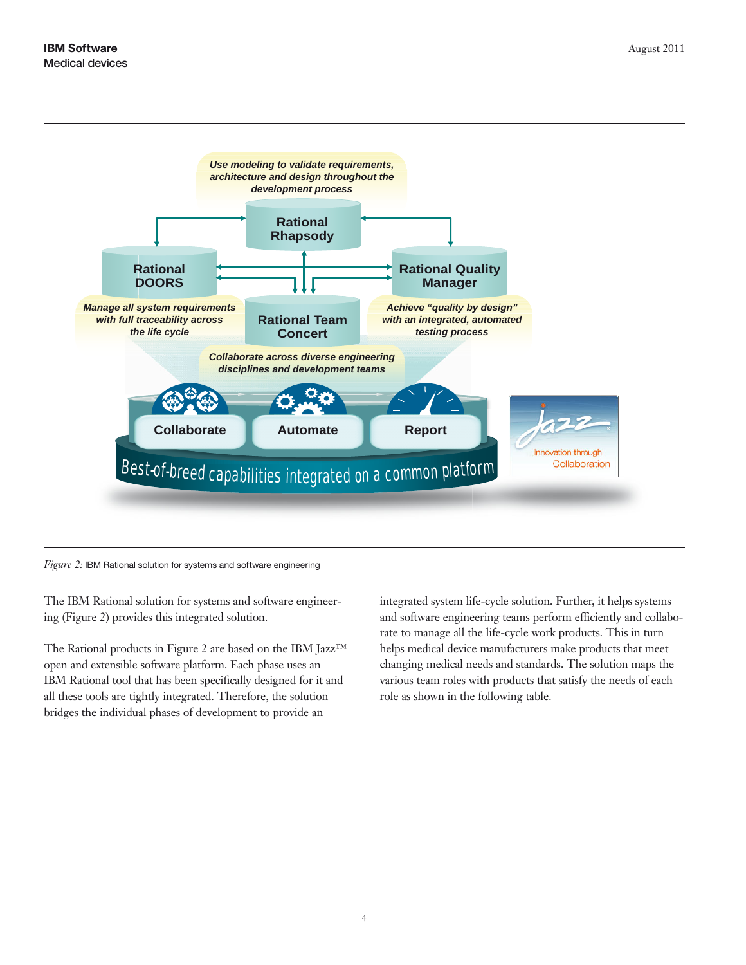

*Figure 2:* IBM Rational solution for systems and software engineering

The IBM Rational solution for systems and software engineering (Figure 2) provides this integrated solution.

The Rational products in Figure 2 are based on the IBM Jazz ™ open and extensible software platform. Each phase uses an IBM Rational tool that has been specifically designed for it an d all these tools are tightly integrated. Therefore, the solution bridges the individual phases of development to provide an

integrated system life-cycle solution. Further, it helps systems and software engineering teams perform efficiently and collaborate to manage all the life-cycle work products. This in turn helps medical device manufacturers make products that meet changing medical needs and standards. The solution maps the various team roles with products that satisfy the needs of each role as shown in the following table.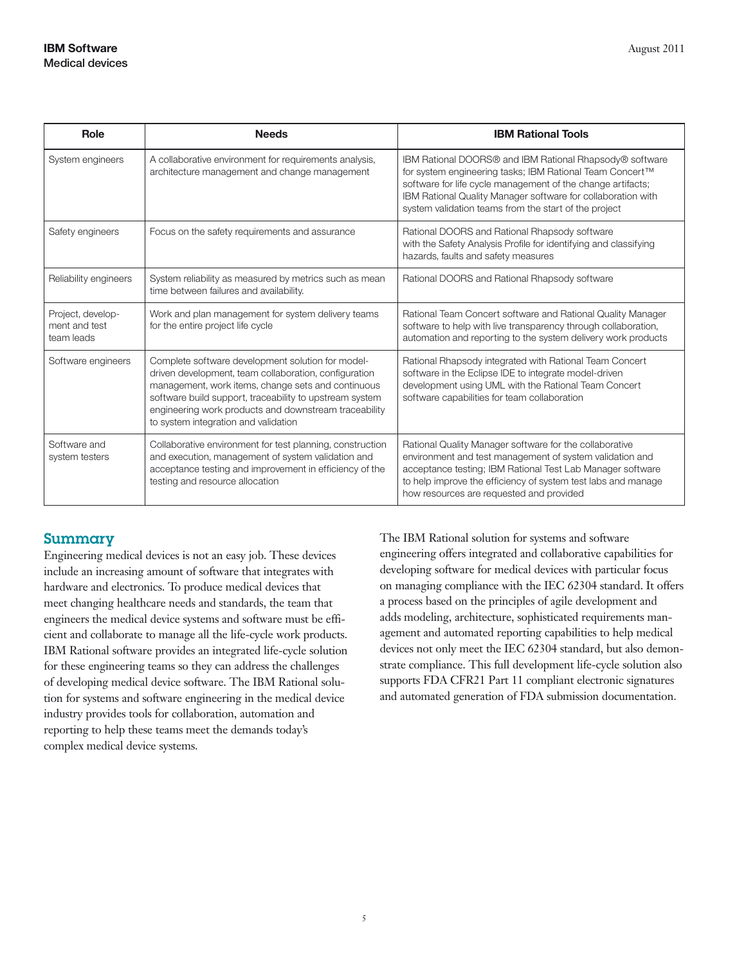| Role                                             | <b>Needs</b>                                                                                                                                                                                                                                                                                                                 | <b>IBM Rational Tools</b>                                                                                                                                                                                                                                                                                   |
|--------------------------------------------------|------------------------------------------------------------------------------------------------------------------------------------------------------------------------------------------------------------------------------------------------------------------------------------------------------------------------------|-------------------------------------------------------------------------------------------------------------------------------------------------------------------------------------------------------------------------------------------------------------------------------------------------------------|
| System engineers                                 | A collaborative environment for requirements analysis,<br>architecture management and change management                                                                                                                                                                                                                      | IBM Rational DOORS® and IBM Rational Rhapsody® software<br>for system engineering tasks; IBM Rational Team Concert™<br>software for life cycle management of the change artifacts;<br>IBM Rational Quality Manager software for collaboration with<br>system validation teams from the start of the project |
| Safety engineers                                 | Focus on the safety requirements and assurance                                                                                                                                                                                                                                                                               | Rational DOORS and Rational Rhapsody software<br>with the Safety Analysis Profile for identifying and classifying<br>hazards, faults and safety measures                                                                                                                                                    |
| Reliability engineers                            | System reliability as measured by metrics such as mean<br>time between failures and availability.                                                                                                                                                                                                                            | Rational DOORS and Rational Rhapsody software                                                                                                                                                                                                                                                               |
| Project, develop-<br>ment and test<br>team leads | Work and plan management for system delivery teams<br>for the entire project life cycle                                                                                                                                                                                                                                      | Rational Team Concert software and Rational Quality Manager<br>software to help with live transparency through collaboration,<br>automation and reporting to the system delivery work products                                                                                                              |
| Software engineers                               | Complete software development solution for model-<br>driven development, team collaboration, configuration<br>management, work items, change sets and continuous<br>software build support, traceability to upstream system<br>engineering work products and downstream traceability<br>to system integration and validation | Rational Rhapsody integrated with Rational Team Concert<br>software in the Eclipse IDE to integrate model-driven<br>development using UML with the Rational Team Concert<br>software capabilities for team collaboration                                                                                    |
| Software and<br>system testers                   | Collaborative environment for test planning, construction<br>and execution, management of system validation and<br>acceptance testing and improvement in efficiency of the<br>testing and resource allocation                                                                                                                | Rational Quality Manager software for the collaborative<br>environment and test management of system validation and<br>acceptance testing; IBM Rational Test Lab Manager software<br>to help improve the efficiency of system test labs and manage<br>how resources are requested and provided              |

#### **Summary**

Engineering medical devices is not an easy job. These devices include an increasing amount of software that integrates with hardware and electronics. To produce medical devices that meet changing healthcare needs and standards, the team that engineers the medical device systems and software must be efficient and collaborate to manage all the life-cycle work products. IBM Rational software provides an integrated life-cycle solution for these engineering teams so they can address the challenges of developing medical device software. The IBM Rational solution for systems and software engineering in the medical device industry provides tools for collaboration, automation and reporting to help these teams meet the demands today's complex medical device systems.

The IBM Rational solution for systems and software engineering offers integrated and collaborative capabilities for developing software for medical devices with particular focus on managing compliance with the IEC 62304 standard. It offers a process based on the principles of agile development and adds modeling, architecture, sophisticated requirements management and automated reporting capabilities to help medical devices not only meet the IEC 62304 standard, but also demonstrate compliance. This full development life-cycle solution also supports FDA CFR21 Part 11 compliant electronic signatures and automated generation of FDA submission documentation.